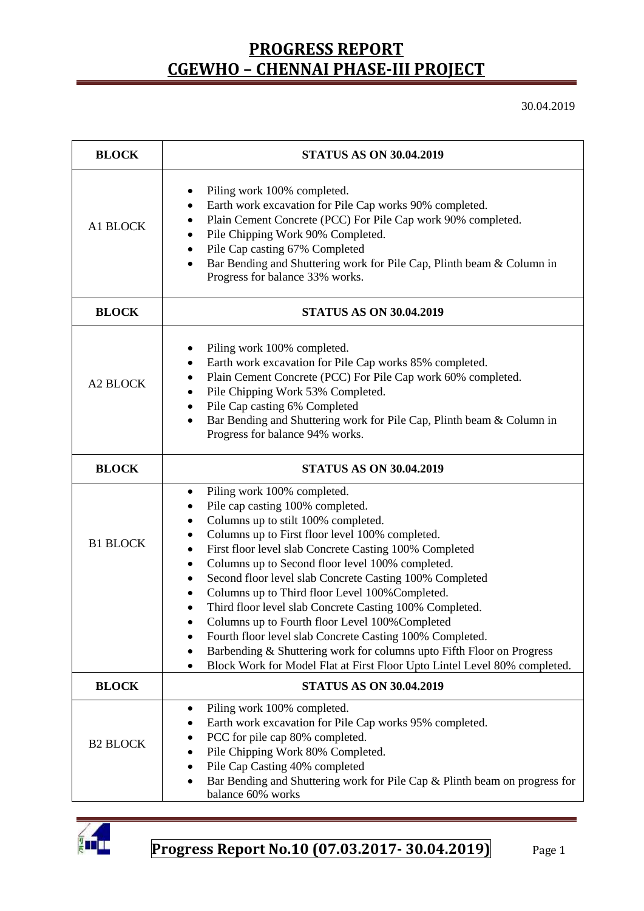30.04.2019

| <b>BLOCK</b>    | <b>STATUS AS ON 30.04.2019</b>                                                                                                                                                                                                                                                                                                                                                                                                                                                                                                                                                                                                                                                                                                                                        |  |  |  |  |
|-----------------|-----------------------------------------------------------------------------------------------------------------------------------------------------------------------------------------------------------------------------------------------------------------------------------------------------------------------------------------------------------------------------------------------------------------------------------------------------------------------------------------------------------------------------------------------------------------------------------------------------------------------------------------------------------------------------------------------------------------------------------------------------------------------|--|--|--|--|
| A1 BLOCK        | Piling work 100% completed.<br>٠<br>Earth work excavation for Pile Cap works 90% completed.<br>٠<br>Plain Cement Concrete (PCC) For Pile Cap work 90% completed.<br>٠<br>Pile Chipping Work 90% Completed.<br>٠<br>Pile Cap casting 67% Completed<br>$\bullet$<br>Bar Bending and Shuttering work for Pile Cap, Plinth beam & Column in<br>$\bullet$<br>Progress for balance 33% works.                                                                                                                                                                                                                                                                                                                                                                               |  |  |  |  |
| <b>BLOCK</b>    | <b>STATUS AS ON 30.04.2019</b>                                                                                                                                                                                                                                                                                                                                                                                                                                                                                                                                                                                                                                                                                                                                        |  |  |  |  |
| A2 BLOCK        | Piling work 100% completed.<br>Earth work excavation for Pile Cap works 85% completed.<br>٠<br>Plain Cement Concrete (PCC) For Pile Cap work 60% completed.<br>٠<br>Pile Chipping Work 53% Completed.<br>$\bullet$<br>Pile Cap casting 6% Completed<br>$\bullet$<br>Bar Bending and Shuttering work for Pile Cap, Plinth beam & Column in<br>$\bullet$<br>Progress for balance 94% works.                                                                                                                                                                                                                                                                                                                                                                             |  |  |  |  |
| <b>BLOCK</b>    | <b>STATUS AS ON 30.04.2019</b>                                                                                                                                                                                                                                                                                                                                                                                                                                                                                                                                                                                                                                                                                                                                        |  |  |  |  |
| <b>B1 BLOCK</b> | Piling work 100% completed.<br>٠<br>Pile cap casting 100% completed.<br>٠<br>Columns up to stilt 100% completed.<br>٠<br>Columns up to First floor level 100% completed.<br>$\bullet$<br>First floor level slab Concrete Casting 100% Completed<br>٠<br>Columns up to Second floor level 100% completed.<br>٠<br>Second floor level slab Concrete Casting 100% Completed<br>٠<br>Columns up to Third floor Level 100% Completed.<br>٠<br>Third floor level slab Concrete Casting 100% Completed.<br>Columns up to Fourth floor Level 100% Completed<br>Fourth floor level slab Concrete Casting 100% Completed.<br>Barbending & Shuttering work for columns upto Fifth Floor on Progress<br>Block Work for Model Flat at First Floor Upto Lintel Level 80% completed. |  |  |  |  |
| <b>BLOCK</b>    | <b>STATUS AS ON 30.04.2019</b>                                                                                                                                                                                                                                                                                                                                                                                                                                                                                                                                                                                                                                                                                                                                        |  |  |  |  |
| <b>B2 BLOCK</b> | Piling work 100% completed.<br>٠<br>Earth work excavation for Pile Cap works 95% completed.<br>PCC for pile cap 80% completed.<br>Pile Chipping Work 80% Completed.<br>Pile Cap Casting 40% completed<br>Bar Bending and Shuttering work for Pile Cap & Plinth beam on progress for<br>balance 60% works                                                                                                                                                                                                                                                                                                                                                                                                                                                              |  |  |  |  |

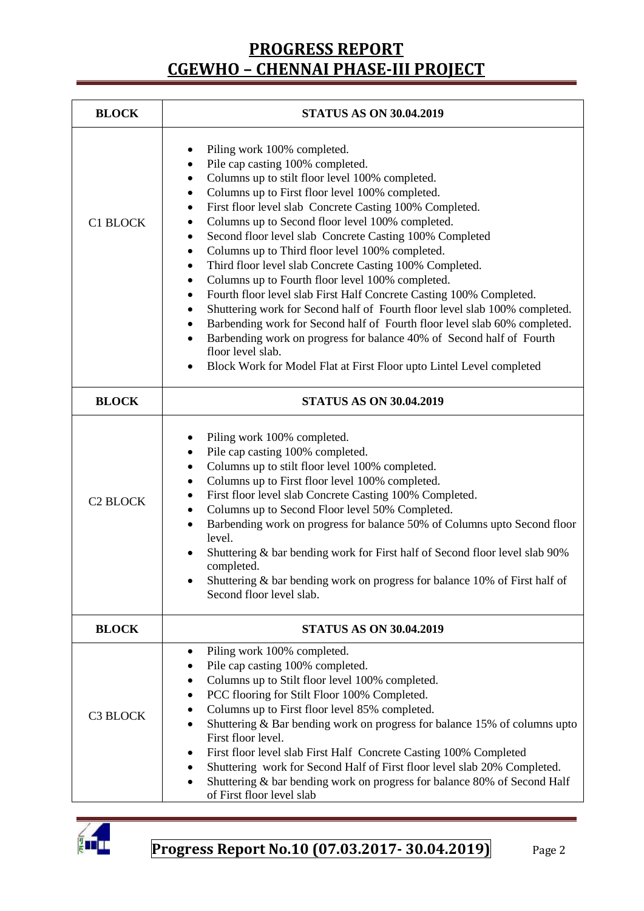| <b>BLOCK</b>    | <b>STATUS AS ON 30.04.2019</b>                                                                                                                                                                                                                                                                                                                                                                                                                                                                                                                                                                                                                                                                                                                                                                                                                                                                                                                                                     |  |  |  |
|-----------------|------------------------------------------------------------------------------------------------------------------------------------------------------------------------------------------------------------------------------------------------------------------------------------------------------------------------------------------------------------------------------------------------------------------------------------------------------------------------------------------------------------------------------------------------------------------------------------------------------------------------------------------------------------------------------------------------------------------------------------------------------------------------------------------------------------------------------------------------------------------------------------------------------------------------------------------------------------------------------------|--|--|--|
| C1 BLOCK        | Piling work 100% completed.<br>٠<br>Pile cap casting 100% completed.<br>٠<br>Columns up to stilt floor level 100% completed.<br>٠<br>Columns up to First floor level 100% completed.<br>٠<br>First floor level slab Concrete Casting 100% Completed.<br>٠<br>Columns up to Second floor level 100% completed.<br>٠<br>Second floor level slab Concrete Casting 100% Completed<br>٠<br>Columns up to Third floor level 100% completed.<br>Third floor level slab Concrete Casting 100% Completed.<br>٠<br>Columns up to Fourth floor level 100% completed.<br>٠<br>Fourth floor level slab First Half Concrete Casting 100% Completed.<br>$\bullet$<br>Shuttering work for Second half of Fourth floor level slab 100% completed.<br>Barbending work for Second half of Fourth floor level slab 60% completed.<br>Barbending work on progress for balance 40% of Second half of Fourth<br>floor level slab.<br>Block Work for Model Flat at First Floor upto Lintel Level completed |  |  |  |
| <b>BLOCK</b>    | <b>STATUS AS ON 30.04.2019</b>                                                                                                                                                                                                                                                                                                                                                                                                                                                                                                                                                                                                                                                                                                                                                                                                                                                                                                                                                     |  |  |  |
| <b>C2 BLOCK</b> | Piling work 100% completed.<br>Pile cap casting 100% completed.<br>٠<br>Columns up to stilt floor level 100% completed.<br>Columns up to First floor level 100% completed.<br>٠<br>First floor level slab Concrete Casting 100% Completed.<br>٠<br>Columns up to Second Floor level 50% Completed.<br>$\bullet$<br>Barbending work on progress for balance 50% of Columns upto Second floor<br>$\bullet$<br>level.<br>Shuttering & bar bending work for First half of Second floor level slab 90%<br>completed.<br>Shuttering $\&$ bar bending work on progress for balance 10% of First half of<br>Second floor level slab.                                                                                                                                                                                                                                                                                                                                                       |  |  |  |
| <b>BLOCK</b>    | <b>STATUS AS ON 30.04.2019</b>                                                                                                                                                                                                                                                                                                                                                                                                                                                                                                                                                                                                                                                                                                                                                                                                                                                                                                                                                     |  |  |  |
| C3 BLOCK        | Piling work 100% completed.<br>٠<br>Pile cap casting 100% completed.<br>Columns up to Stilt floor level 100% completed.<br>PCC flooring for Stilt Floor 100% Completed.<br>Columns up to First floor level 85% completed.<br>Shuttering & Bar bending work on progress for balance 15% of columns upto<br>٠<br>First floor level.<br>First floor level slab First Half Concrete Casting 100% Completed<br>٠<br>Shuttering work for Second Half of First floor level slab 20% Completed.<br>٠<br>Shuttering & bar bending work on progress for balance 80% of Second Half<br>٠<br>of First floor level slab                                                                                                                                                                                                                                                                                                                                                                         |  |  |  |

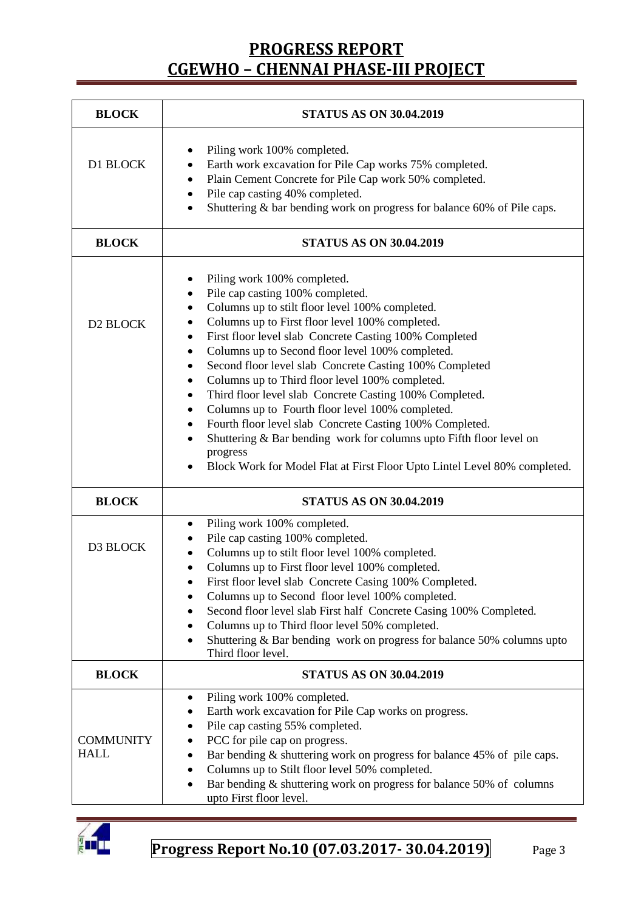| <b>BLOCK</b>                    | <b>STATUS AS ON 30.04.2019</b>                                                                                                                                                                                                                                                                                                                                                                                                                                                                                                                                                                                                                                                                                                                                             |  |  |  |
|---------------------------------|----------------------------------------------------------------------------------------------------------------------------------------------------------------------------------------------------------------------------------------------------------------------------------------------------------------------------------------------------------------------------------------------------------------------------------------------------------------------------------------------------------------------------------------------------------------------------------------------------------------------------------------------------------------------------------------------------------------------------------------------------------------------------|--|--|--|
| D1 BLOCK                        | Piling work 100% completed.<br>Earth work excavation for Pile Cap works 75% completed.<br>Plain Cement Concrete for Pile Cap work 50% completed.<br>٠<br>Pile cap casting 40% completed.<br>$\bullet$<br>Shuttering & bar bending work on progress for balance 60% of Pile caps.<br>$\bullet$                                                                                                                                                                                                                                                                                                                                                                                                                                                                              |  |  |  |
| <b>BLOCK</b>                    | <b>STATUS AS ON 30.04.2019</b>                                                                                                                                                                                                                                                                                                                                                                                                                                                                                                                                                                                                                                                                                                                                             |  |  |  |
| D <sub>2</sub> BLOCK            | Piling work 100% completed.<br>Pile cap casting 100% completed.<br>Columns up to stilt floor level 100% completed.<br>Columns up to First floor level 100% completed.<br>٠<br>First floor level slab Concrete Casting 100% Completed<br>٠<br>Columns up to Second floor level 100% completed.<br>Second floor level slab Concrete Casting 100% Completed<br>Columns up to Third floor level 100% completed.<br>٠<br>Third floor level slab Concrete Casting 100% Completed.<br>٠<br>Columns up to Fourth floor level 100% completed.<br>٠<br>Fourth floor level slab Concrete Casting 100% Completed.<br>٠<br>Shuttering & Bar bending work for columns upto Fifth floor level on<br>progress<br>Block Work for Model Flat at First Floor Upto Lintel Level 80% completed. |  |  |  |
| <b>BLOCK</b>                    | <b>STATUS AS ON 30.04.2019</b>                                                                                                                                                                                                                                                                                                                                                                                                                                                                                                                                                                                                                                                                                                                                             |  |  |  |
| D3 BLOCK                        | Piling work 100% completed.<br>٠<br>Pile cap casting 100% completed.<br>Columns up to stilt floor level 100% completed.<br>Columns up to First floor level 100% completed.<br>First floor level slab Concrete Casing 100% Completed.<br>Columns up to Second floor level 100% completed.<br>Second floor level slab First half Concrete Casing 100% Completed.<br>Columns up to Third floor level 50% completed.<br>Shuttering & Bar bending work on progress for balance 50% columns upto<br>Third floor level.                                                                                                                                                                                                                                                           |  |  |  |
| <b>BLOCK</b>                    | <b>STATUS AS ON 30.04.2019</b>                                                                                                                                                                                                                                                                                                                                                                                                                                                                                                                                                                                                                                                                                                                                             |  |  |  |
| <b>COMMUNITY</b><br><b>HALL</b> | Piling work 100% completed.<br>Earth work excavation for Pile Cap works on progress.<br>Pile cap casting 55% completed.<br>PCC for pile cap on progress.<br>Bar bending & shuttering work on progress for balance 45% of pile caps.<br>Columns up to Stilt floor level 50% completed.<br>Bar bending & shuttering work on progress for balance 50% of columns<br>upto First floor level.                                                                                                                                                                                                                                                                                                                                                                                   |  |  |  |

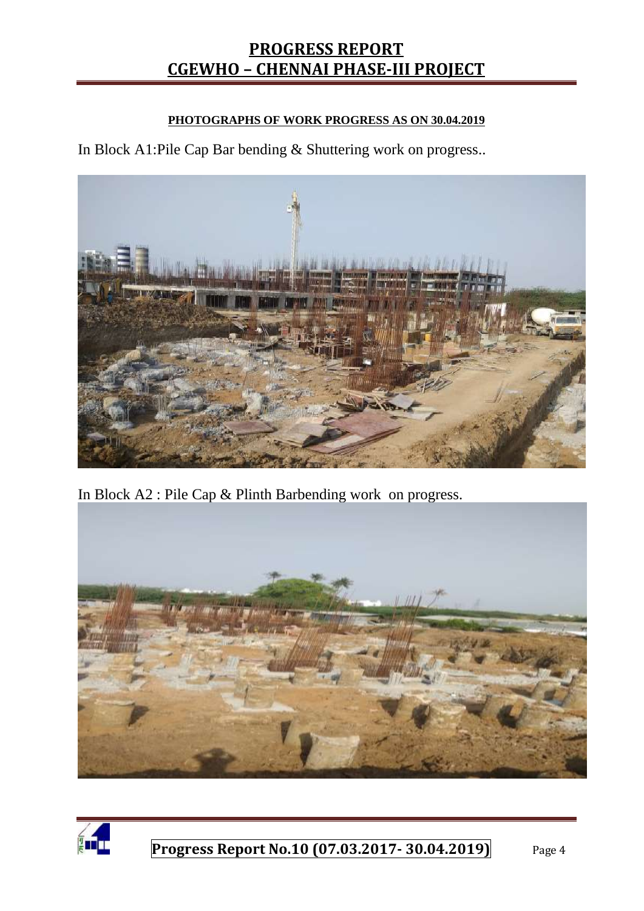#### **PHOTOGRAPHS OF WORK PROGRESS AS ON 30.04.2019**

In Block A1:Pile Cap Bar bending & Shuttering work on progress..



In Block A2 : Pile Cap & Plinth Barbending work on progress.



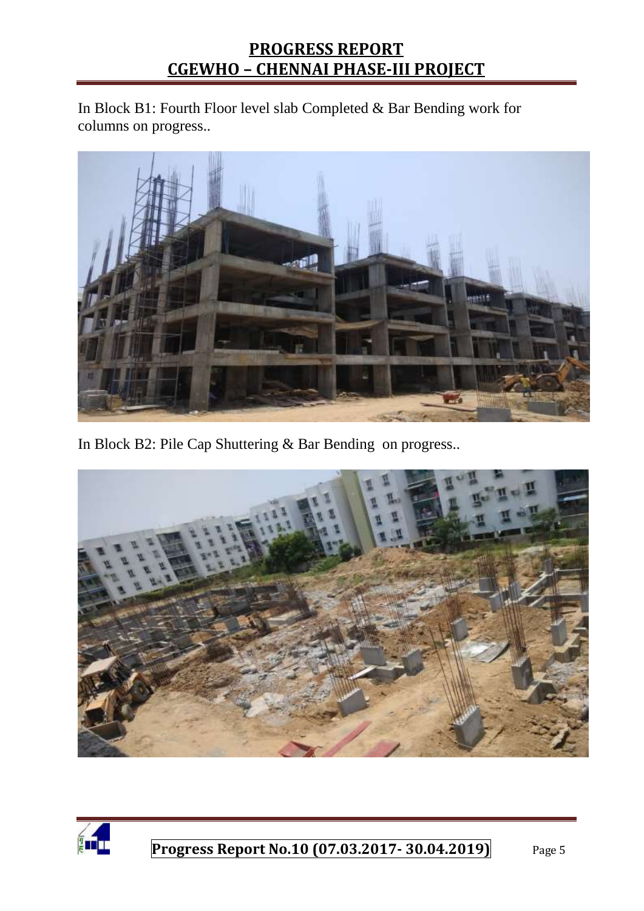In Block B1: Fourth Floor level slab Completed & Bar Bending work for columns on progress..



In Block B2: Pile Cap Shuttering & Bar Bending on progress..



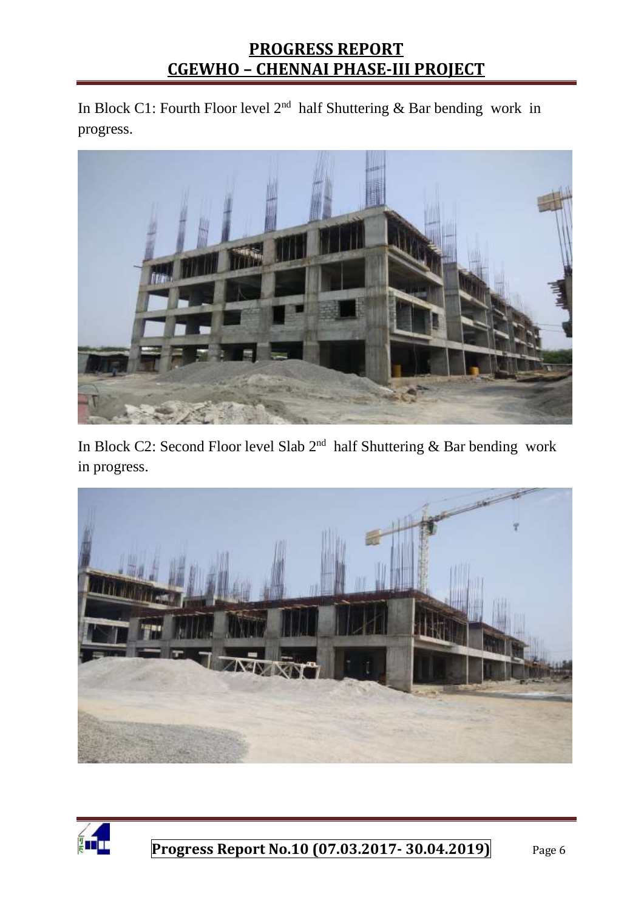In Block C1: Fourth Floor level  $2<sup>nd</sup>$  half Shuttering & Bar bending work in progress.



In Block C2: Second Floor level Slab  $2<sup>nd</sup>$  half Shuttering & Bar bending work in progress.



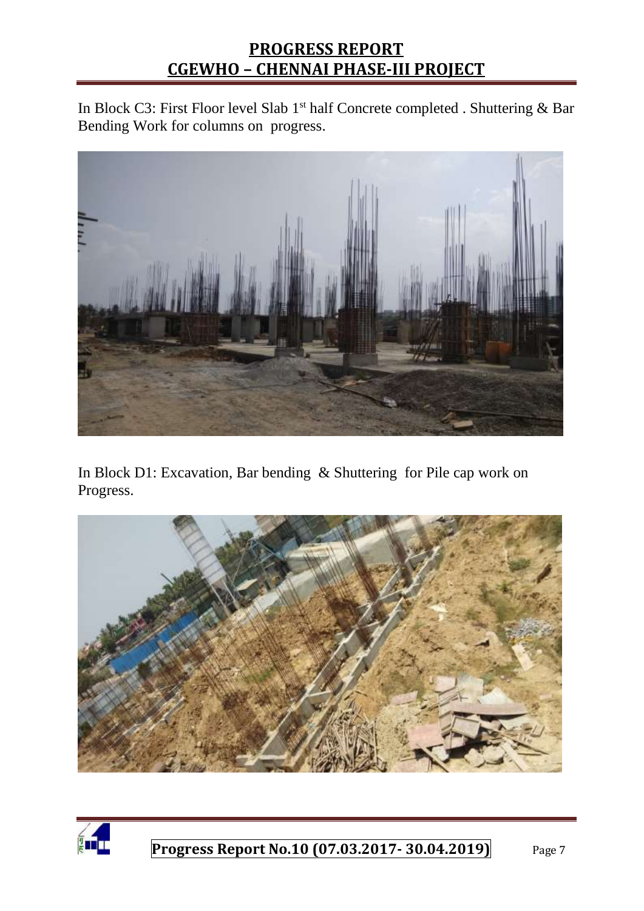In Block C3: First Floor level Slab 1<sup>st</sup> half Concrete completed . Shuttering & Bar Bending Work for columns on progress.



In Block D1: Excavation, Bar bending & Shuttering for Pile cap work on Progress.



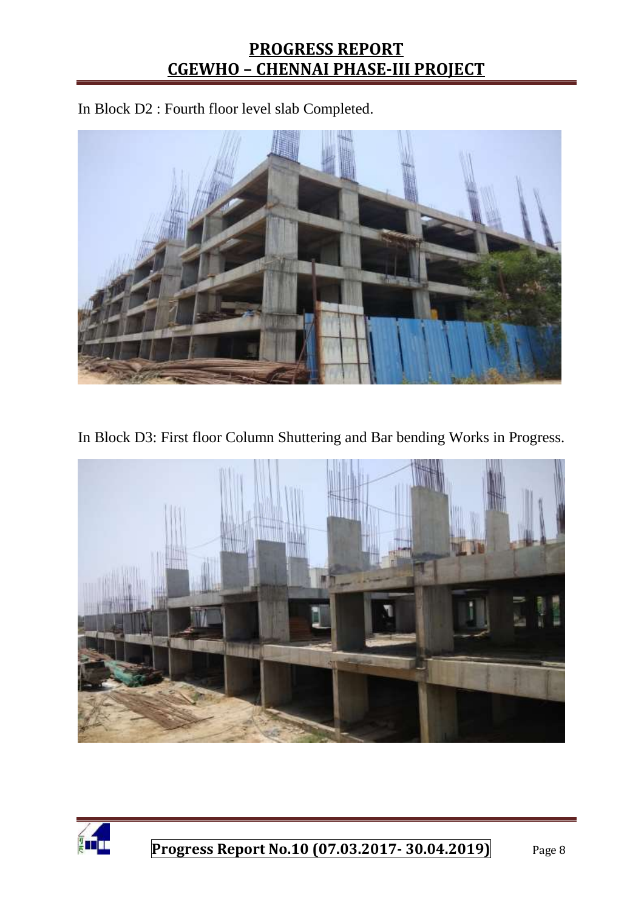In Block D2 : Fourth floor level slab Completed.



In Block D3: First floor Column Shuttering and Bar bending Works in Progress.



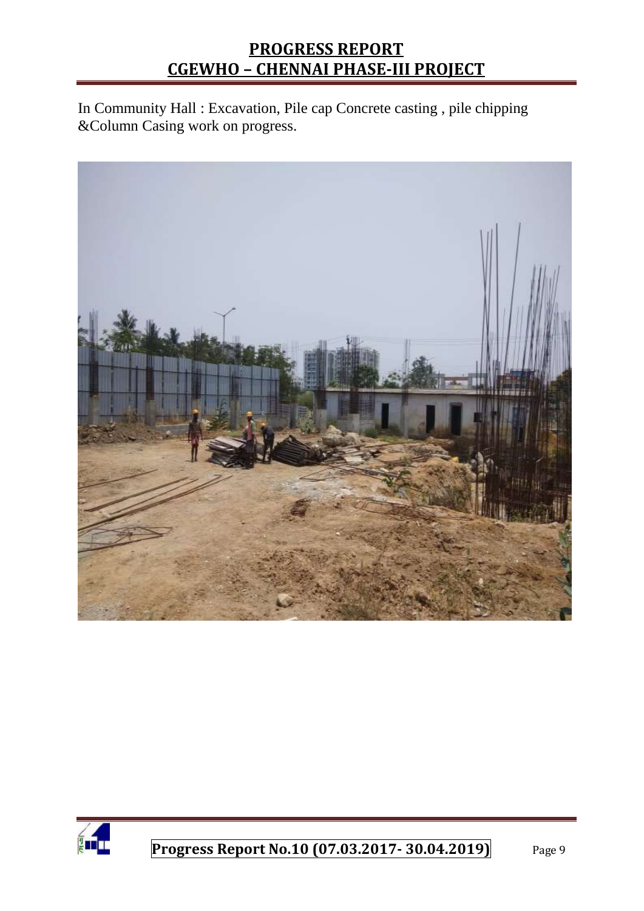In Community Hall : Excavation, Pile cap Concrete casting , pile chipping &Column Casing work on progress.



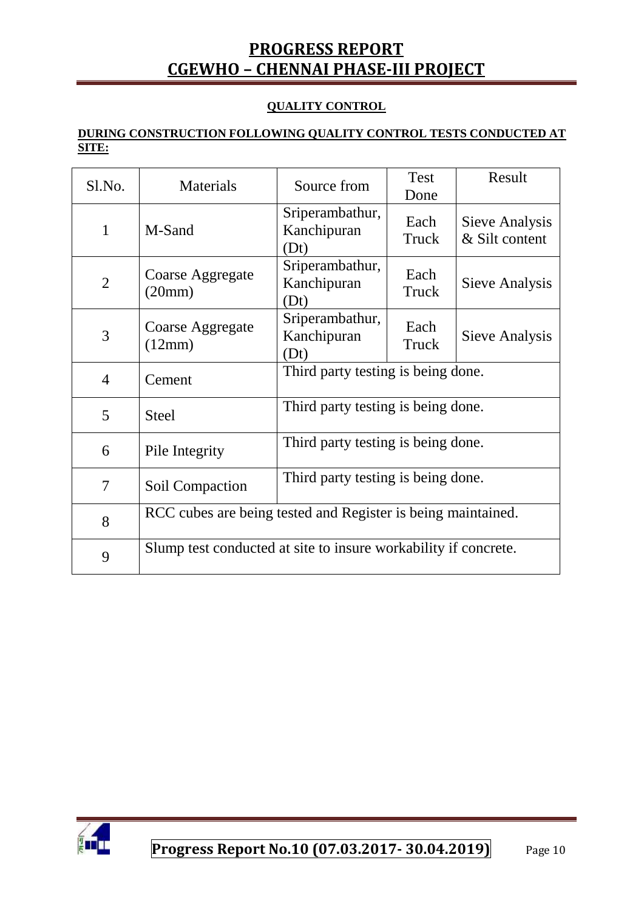#### **QUALITY CONTROL**

#### **DURING CONSTRUCTION FOLLOWING QUALITY CONTROL TESTS CONDUCTED AT SITE:**

| Sl.No.         | Materials                                                       | Source from                            | Test<br>Done  | Result                           |  |
|----------------|-----------------------------------------------------------------|----------------------------------------|---------------|----------------------------------|--|
| $\mathbf{1}$   | M-Sand                                                          | Sriperambathur,<br>Kanchipuran<br>(Dt) | Each<br>Truck | Sieve Analysis<br>& Silt content |  |
| 2              | Coarse Aggregate<br>(20mm)                                      | Sriperambathur,<br>Kanchipuran<br>(Dt) | Each<br>Truck | Sieve Analysis                   |  |
| 3              | Coarse Aggregate<br>(12mm)                                      | Sriperambathur,<br>Kanchipuran<br>(Dt) | Each<br>Truck | Sieve Analysis                   |  |
| $\overline{4}$ | Cement                                                          | Third party testing is being done.     |               |                                  |  |
| 5              | <b>Steel</b>                                                    | Third party testing is being done.     |               |                                  |  |
| 6              | Pile Integrity                                                  | Third party testing is being done.     |               |                                  |  |
| $\overline{7}$ | Soil Compaction                                                 | Third party testing is being done.     |               |                                  |  |
| 8              | RCC cubes are being tested and Register is being maintained.    |                                        |               |                                  |  |
| 9              | Slump test conducted at site to insure workability if concrete. |                                        |               |                                  |  |

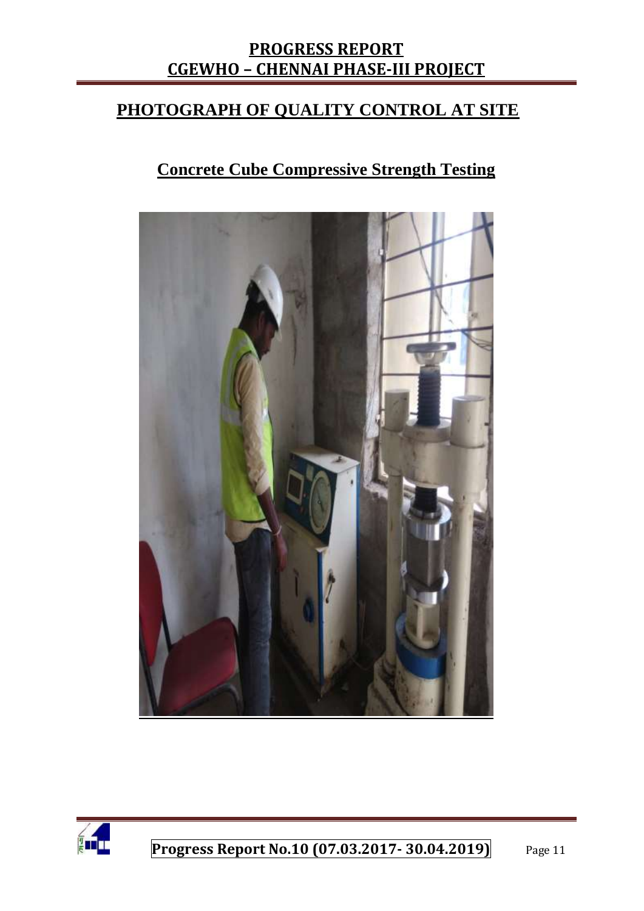#### **PHOTOGRAPH OF QUALITY CONTROL AT SITE**

## **Concrete Cube Compressive Strength Testing**



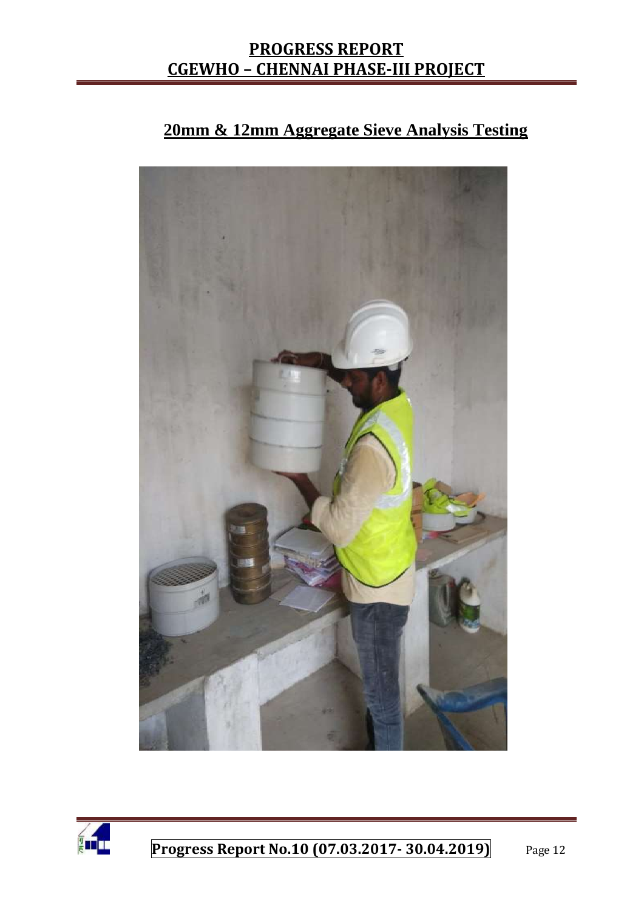### **20mm & 12mm Aggregate Sieve Analysis Testing**